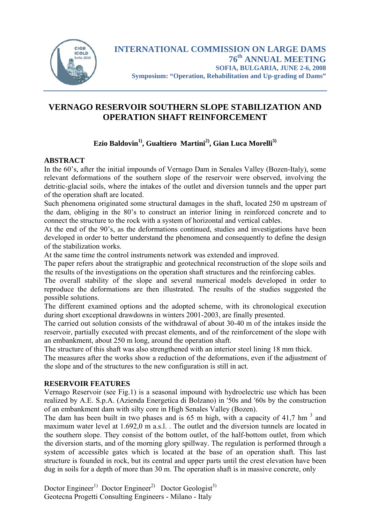

# **VERNAGO RESERVOIR SOUTHERN SLOPE STABILIZATION AND OPERATION SHAFT REINFORCEMENT**

# Ezio Baldovin<sup>1)</sup>, Gualtiero Martini<sup>2)</sup>, Gian Luca Morelli<sup>3)</sup>

# **ABSTRACT**

In the 60's, after the initial impounds of Vernago Dam in Senales Valley (Bozen-Italy), some relevant deformations of the southern slope of the reservoir were observed, involving the detritic-glacial soils, where the intakes of the outlet and diversion tunnels and the upper part of the operation shaft are located.

Such phenomena originated some structural damages in the shaft, located 250 m upstream of the dam, obliging in the 80's to construct an interior lining in reinforced concrete and to connect the structure to the rock with a system of horizontal and vertical cables.

At the end of the 90's, as the deformations continued, studies and investigations have been developed in order to better understand the phenomena and consequently to define the design of the stabilization works.

At the same time the control instruments network was extended and improved.

The paper refers about the stratigraphic and geotechnical reconstruction of the slope soils and the results of the investigations on the operation shaft structures and the reinforcing cables.

The overall stability of the slope and several numerical models developed in order to reproduce the deformations are then illustrated. The results of the studies suggested the possible solutions.

The different examined options and the adopted scheme, with its chronological execution during short exceptional drawdowns in winters 2001-2003, are finally presented.

The carried out solution consists of the withdrawal of about 30-40 m of the intakes inside the reservoir, partially executed with precast elements, and of the reinforcement of the slope with an embankment, about 250 m long, around the operation shaft.

The structure of this shaft was also strengthened with an interior steel lining 18 mm thick.

The measures after the works show a reduction of the deformations, even if the adjustment of the slope and of the structures to the new configuration is still in act.

# **RESERVOIR FEATURES**

Vernago Reservoir (see Fig.1) is a seasonal impound with hydroelectric use which has been realized by A.E. S.p.A. (Azienda Energetica di Bolzano) in ′50s and ′60s by the construction of an embankment dam with silty core in High Senales Valley (Bozen).

The dam has been built in two phases and is 65 m high, with a capacity of 41,7 hm<sup>3</sup> and maximum water level at 1.692,0 m a.s.l. The outlet and the diversion tunnels are located in the southern slope. They consist of the bottom outlet, of the half-bottom outlet, from which the diversion starts, and of the morning glory spillway. The regulation is performed through a system of accessible gates which is located at the base of an operation shaft. This last structure is founded in rock, but its central and upper parts until the crest elevation have been dug in soils for a depth of more than 30 m. The operation shaft is in massive concrete, only

Doctor Engineer<sup>1)</sup> Doctor Engineer<sup>2)</sup> Doctor Geologist<sup>3)</sup> Geotecna Progetti Consulting Engineers - Milano - Italy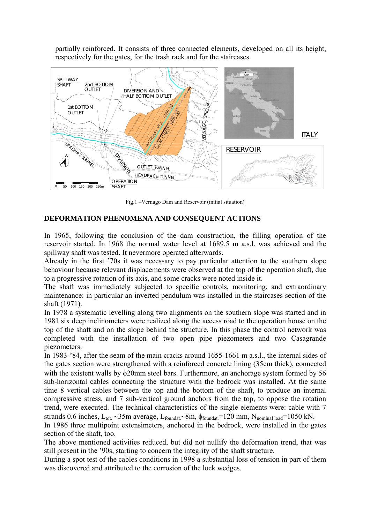partially reinforced. It consists of three connected elements, developed on all its height, respectively for the gates, for the trash rack and for the staircases.



Fig.1 –Vernago Dam and Reservoir (initial situation)

# **DEFORMATION PHENOMENA AND CONSEQUENT ACTIONS**

In 1965, following the conclusion of the dam construction, the filling operation of the reservoir started. In 1968 the normal water level at 1689.5 m a.s.l. was achieved and the spillway shaft was tested. It nevermore operated afterwards.

Already in the first '70s it was necessary to pay particular attention to the southern slope behaviour because relevant displacements were observed at the top of the operation shaft, due to a progressive rotation of its axis, and some cracks were noted inside it.

The shaft was immediately subjected to specific controls, monitoring, and extraordinary maintenance: in particular an inverted pendulum was installed in the staircases section of the shaft (1971).

In 1978 a systematic levelling along two alignments on the southern slope was started and in 1981 six deep inclinometers were realized along the access road to the operation house on the top of the shaft and on the slope behind the structure. In this phase the control network was completed with the installation of two open pipe piezometers and two Casagrande piezometers.

In 1983-'84, after the seam of the main cracks around 1655-1661 m a.s.l., the internal sides of the gates section were strengthened with a reinforced concrete lining (35cm thick), connected with the existent walls by φ20mm steel bars. Furthermore, an anchorage system formed by 56 sub-horizontal cables connecting the structure with the bedrock was installed. At the same time 8 vertical cables between the top and the bottom of the shaft, to produce an internal compressive stress, and 7 sub-vertical ground anchors from the top, to oppose the rotation trend, were executed. The technical characteristics of the single elements were: cable with 7 strands 0.6 inches, L<sub>tot.</sub> ~35m average, L<sub>foundat.</sub>∼8m, φ<sub>foundat</sub>=120 mm, N<sub>nominal load</sub>=1050 kN.

In 1986 three multipoint extensimeters, anchored in the bedrock, were installed in the gates section of the shaft, too.

The above mentioned activities reduced, but did not nullify the deformation trend, that was still present in the '90s, starting to concern the integrity of the shaft structure.

During a spot test of the cables conditions in 1998 a substantial loss of tension in part of them was discovered and attributed to the corrosion of the lock wedges.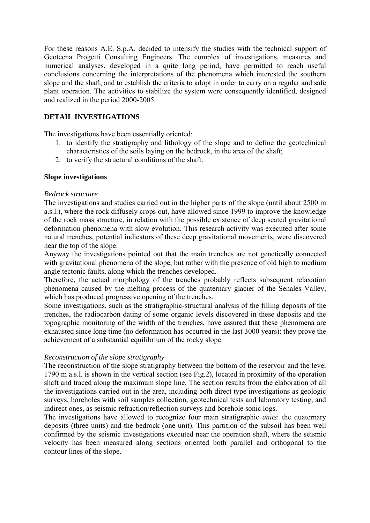For these reasons A.E. S.p.A. decided to intensify the studies with the technical support of Geotecna Progetti Consulting Engineers. The complex of investigations, measures and numerical analyses, developed in a quite long period, have permitted to reach useful conclusions concerning the interpretations of the phenomena which interested the southern slope and the shaft, and to establish the criteria to adopt in order to carry on a regular and safe plant operation. The activities to stabilize the system were consequently identified, designed and realized in the period 2000-2005.

# **DETAIL INVESTIGATIONS**

The investigations have been essentially oriented:

- 1. to identify the stratigraphy and lithology of the slope and to define the geotechnical characteristics of the soils laying on the bedrock, in the area of the shaft;
- 2. to verify the structural conditions of the shaft.

## **Slope investigations**

## *Bedrock structure*

The investigations and studies carried out in the higher parts of the slope (until about 2500 m a.s.l.), where the rock diffusely crops out, have allowed since 1999 to improve the knowledge of the rock mass structure, in relation with the possible existence of deep seated gravitational deformation phenomena with slow evolution. This research activity was executed after some natural trenches, potential indicators of these deep gravitational movements, were discovered near the top of the slope.

Anyway the investigations pointed out that the main trenches are not genetically connected with gravitational phenomena of the slope, but rather with the presence of old high to medium angle tectonic faults, along which the trenches developed.

Therefore, the actual morphology of the trenches probably reflects subsequent relaxation phenomena caused by the melting process of the quaternary glacier of the Senales Valley, which has produced progressive opening of the trenches.

Some investigations, such as the stratigraphic-structural analysis of the filling deposits of the trenches, the radiocarbon dating of some organic levels discovered in these deposits and the topographic monitoring of the width of the trenches, have assured that these phenomena are exhausted since long time (no deformation has occurred in the last 3000 years): they prove the achievement of a substantial equilibrium of the rocky slope.

## *Reconstruction of the slope stratigraphy*

The reconstruction of the slope stratigraphy between the bottom of the reservoir and the level 1790 m a.s.l. is shown in the vertical section (see Fig.2), located in proximity of the operation shaft and traced along the maximum slope line. The section results from the elaboration of all the investigations carried out in the area, including both direct type investigations as geologic surveys, boreholes with soil samples collection, geotechnical tests and laboratory testing, and indirect ones, as seismic refraction/reflection surveys and borehole sonic logs.

The investigations have allowed to recognize four main stratigraphic *units*: the quaternary deposits (three units) and the bedrock (one unit). This partition of the subsoil has been well confirmed by the seismic investigations executed near the operation shaft, where the seismic velocity has been measured along sections oriented both parallel and orthogonal to the contour lines of the slope.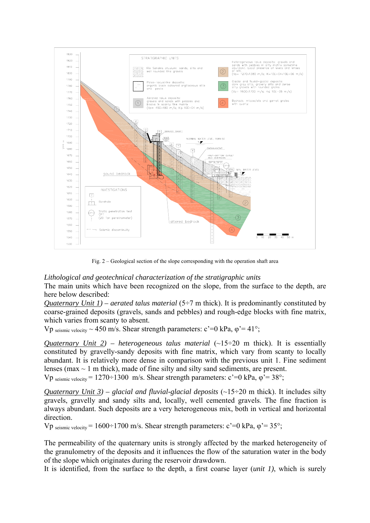

Fig. 2 – Geological section of the slope corresponding with the operation shaft area

## *Lithological and geotechnical characterization of the stratigraphic units*

The main units which have been recognized on the slope, from the surface to the depth, are here below described:

*Quaternary Unit 1) – aerated talus material* (5–7 m thick). It is predominantly constituted by coarse-grained deposits (gravels, sands and pebbles) and rough-edge blocks with fine matrix, which varies from scanty to absent.

Vp seismic velocity  $\sim$  450 m/s. Shear strength parameters: c'=0 kPa,  $\omega$ '= 41°;

*Quaternary Unit 2) – heterogeneous talus material*  $(-15\div 20$  m thick). It is essentially constituted by gravelly-sandy deposits with fine matrix, which vary from scanty to locally abundant. It is relatively more dense in comparison with the previous unit 1. Fine sediment lenses (max  $\sim$  1 m thick), made of fine silty and silty sand sediments, are present.

Vp seismic velocity =  $1270 \div 1300$  m/s. Shear strength parameters:  $c'=0$  kPa,  $\varphi' = 38^{\circ}$ ;

*Quaternary Unit 3) – glacial and fluvial-glacial deposits* ( $\sim$ 15÷20 m thick). It includes silty gravels, gravelly and sandy silts and, locally, well cemented gravels. The fine fraction is always abundant. Such deposits are a very heterogeneous mix, both in vertical and horizontal direction.

Vp seismic velocity = 1600÷1700 m/s. Shear strength parameters:  $c' = 0$  kPa,  $\varphi' = 35^{\circ}$ ;

The permeability of the quaternary units is strongly affected by the marked heterogeneity of the granulometry of the deposits and it influences the flow of the saturation water in the body of the slope which originates during the reservoir drawdown.

It is identified, from the surface to the depth, a first coarse layer (*unit 1)*, which is surely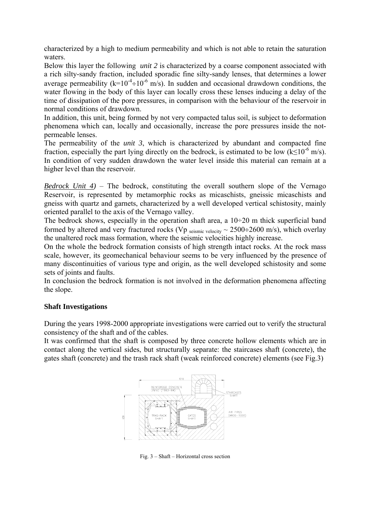characterized by a high to medium permeability and which is not able to retain the saturation waters.

Below this layer the following *unit 2* is characterized by a coarse component associated with a rich silty-sandy fraction, included sporadic fine silty-sandy lenses, that determines a lower average permeability ( $k=10^{-4} \div 10^{-6}$  m/s). In sudden and occasional drawdown conditions, the water flowing in the body of this layer can locally cross these lenses inducing a delay of the time of dissipation of the pore pressures, in comparison with the behaviour of the reservoir in normal conditions of drawdown.

In addition, this unit, being formed by not very compacted talus soil, is subject to deformation phenomena which can, locally and occasionally, increase the pore pressures inside the notpermeable lenses.

The permeability of the *unit 3*, which is characterized by abundant and compacted fine fraction, especially the part lying directly on the bedrock, is estimated to be low  $(k \leq 10^{-6} \text{ m/s})$ . In condition of very sudden drawdown the water level inside this material can remain at a higher level than the reservoir.

*Bedrock Unit 4)* – The bedrock, constituting the overall southern slope of the Vernago Reservoir, is represented by metamorphic rocks as micaschists, gneissic micaschists and gneiss with quartz and garnets, characterized by a well developed vertical schistosity, mainly oriented parallel to the axis of the Vernago valley.

The bedrock shows, especially in the operation shaft area, a  $10\div 20$  m thick superficial band formed by altered and very fractured rocks (Vp seismic velocity  $\sim$  2500÷2600 m/s), which overlay the unaltered rock mass formation, where the seismic velocities highly increase.

On the whole the bedrock formation consists of high strength intact rocks. At the rock mass scale, however, its geomechanical behaviour seems to be very influenced by the presence of many discontinuities of various type and origin, as the well developed schistosity and some sets of joints and faults.

In conclusion the bedrock formation is not involved in the deformation phenomena affecting the slope.

# **Shaft Investigations**

During the years 1998-2000 appropriate investigations were carried out to verify the structural consistency of the shaft and of the cables.

It was confirmed that the shaft is composed by three concrete hollow elements which are in contact along the vertical sides, but structurally separate: the staircases shaft (concrete), the gates shaft (concrete) and the trash rack shaft (weak reinforced concrete) elements (see Fig.3)



Fig. 3 – Shaft – Horizontal cross section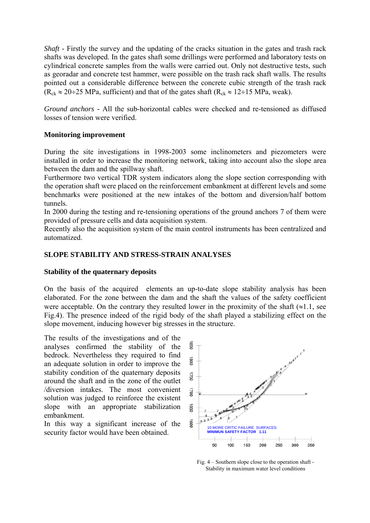*Shaft - Firstly the survey and the updating of the cracks situation in the gates and trash rack* shafts was developed. In the gates shaft some drillings were performed and laboratory tests on cylindrical concrete samples from the walls were carried out. Only not destructive tests, such as georadar and concrete test hammer, were possible on the trash rack shaft walls. The results pointed out a considerable difference between the concrete cubic strength of the trash rack  $(R_{ck} \approx 20 \div 25 \text{ MPa}$ , sufficient) and that of the gates shaft  $(R_{ck} \approx 12 \div 15 \text{ MPa}$ , weak).

*Ground anchors -* All the sub-horizontal cables were checked and re-tensioned as diffused losses of tension were verified.

## **Monitoring improvement**

During the site investigations in 1998-2003 some inclinometers and piezometers were installed in order to increase the monitoring network, taking into account also the slope area between the dam and the spillway shaft.

Furthermore two vertical TDR system indicators along the slope section corresponding with the operation shaft were placed on the reinforcement embankment at different levels and some benchmarks were positioned at the new intakes of the bottom and diversion/half bottom tunnels.

In 2000 during the testing and re-tensioning operations of the ground anchors 7 of them were provided of pressure cells and data acquisition system.

Recently also the acquisition system of the main control instruments has been centralized and automatized.

# **SLOPE STABILITY AND STRESS-STRAIN ANALYSES**

## **Stability of the quaternary deposits**

On the basis of the acquired elements an up-to-date slope stability analysis has been elaborated. For the zone between the dam and the shaft the values of the safety coefficient were acceptable. On the contrary they resulted lower in the proximity of the shaft  $(\approx 1.1, \text{ see})$ Fig.4). The presence indeed of the rigid body of the shaft played a stabilizing effect on the slope movement, inducing however big stresses in the structure.

The results of the investigations and of the analyses confirmed the stability of the bedrock. Nevertheless they required to find an adequate solution in order to improve the stability condition of the quaternary deposits around the shaft and in the zone of the outlet /diversion intakes. The most convenient solution was judged to reinforce the existent slope with an appropriate stabilization embankment.

In this way a significant increase of the security factor would have been obtained.



Fig. 4 – Southern slope close to the operation shaft - Stability in maximum water level conditions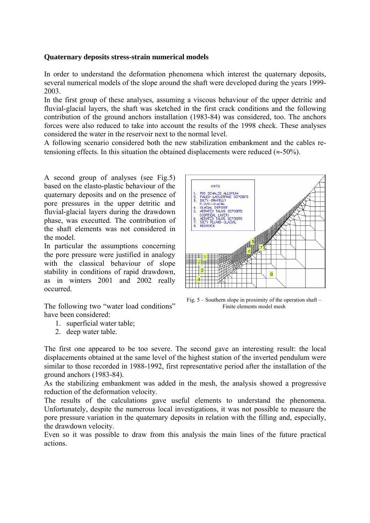## **Quaternary deposits stress-strain numerical models**

In order to understand the deformation phenomena which interest the quaternary deposits, several numerical models of the slope around the shaft were developed during the years 1999- 2003.

In the first group of these analyses, assuming a viscous behaviour of the upper detritic and fluvial-glacial layers, the shaft was sketched in the first crack conditions and the following contribution of the ground anchors installation (1983-84) was considered, too. The anchors forces were also reduced to take into account the results of the 1998 check. These analyses considered the water in the reservoir next to the normal level.

A following scenario considered both the new stabilization embankment and the cables retensioning effects. In this situation the obtained displacements were reduced ( $\approx$ -50%).

A second group of analyses (see Fig.5) based on the elasto-plastic behaviour of the quaternary deposits and on the presence of pore pressures in the upper detritic and fluvial-glacial layers during the drawdown phase, was executted. The contribution of the shaft elements was not considered in the model.

In particular the assumptions concerning the pore pressure were justified in analogy with the classical behaviour of slope stability in conditions of rapid drawdown, as in winters 2001 and 2002 really occurred.

The following two "water load conditions" have been considered:

- 1. superficial water table;
- 2. deep water table.



Fig.  $5 -$  Southern slope in proximity of the operation shaft – Finite elements model mesh

The first one appeared to be too severe. The second gave an interesting result: the local displacements obtained at the same level of the highest station of the inverted pendulum were similar to those recorded in 1988-1992, first representative period after the installation of the ground anchors (1983-84).

As the stabilizing embankment was added in the mesh, the analysis showed a progressive reduction of the deformation velocity.

The results of the calculations gave useful elements to understand the phenomena. Unfortunately, despite the numerous local investigations, it was not possible to measure the pore pressure variation in the quaternary deposits in relation with the filling and, especially, the drawdown velocity.

Even so it was possible to draw from this analysis the main lines of the future practical actions.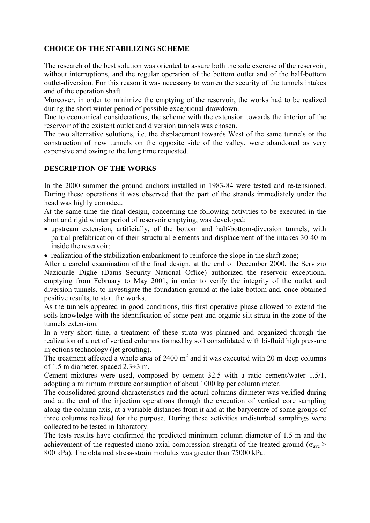# **CHOICE OF THE STABILIZING SCHEME**

The research of the best solution was oriented to assure both the safe exercise of the reservoir, without interruptions, and the regular operation of the bottom outlet and of the half-bottom outlet-diversion. For this reason it was necessary to warren the security of the tunnels intakes and of the operation shaft.

Moreover, in order to minimize the emptying of the reservoir, the works had to be realized during the short winter period of possible exceptional drawdown.

Due to economical considerations, the scheme with the extension towards the interior of the reservoir of the existent outlet and diversion tunnels was chosen.

The two alternative solutions, i.e. the displacement towards West of the same tunnels or the construction of new tunnels on the opposite side of the valley, were abandoned as very expensive and owing to the long time requested.

# **DESCRIPTION OF THE WORKS**

In the 2000 summer the ground anchors installed in 1983-84 were tested and re-tensioned. During these operations it was observed that the part of the strands immediately under the head was highly corroded.

At the same time the final design, concerning the following activities to be executed in the short and rigid winter period of reservoir emptying, was developed:

- upstream extension, artificially, of the bottom and half-bottom-diversion tunnels, with partial prefabrication of their structural elements and displacement of the intakes 30-40 m inside the reservoir;
- realization of the stabilization embankment to reinforce the slope in the shaft zone;

After a careful examination of the final design, at the end of December 2000, the Servizio Nazionale Dighe (Dams Security National Office) authorized the reservoir exceptional emptying from February to May 2001, in order to verify the integrity of the outlet and diversion tunnels, to investigate the foundation ground at the lake bottom and, once obtained positive results, to start the works.

As the tunnels appeared in good conditions, this first operative phase allowed to extend the soils knowledge with the identification of some peat and organic silt strata in the zone of the tunnels extension.

In a very short time, a treatment of these strata was planned and organized through the realization of a net of vertical columns formed by soil consolidated with bi-fluid high pressure injections technology (jet grouting).

The treatment affected a whole area of  $2400 \text{ m}^2$  and it was executed with 20 m deep columns of 1.5 m diameter, spaced 2.3÷3 m.

Cement mixtures were used, composed by cement 32.5 with a ratio cement/water 1.5/1, adopting a minimum mixture consumption of about 1000 kg per column meter.

The consolidated ground characteristics and the actual columns diameter was verified during and at the end of the injection operations through the execution of vertical core sampling along the column axis, at a variable distances from it and at the barycentre of some groups of three columns realized for the purpose. During these activities undisturbed samplings were collected to be tested in laboratory.

The tests results have confirmed the predicted minimum column diameter of 1.5 m and the achievement of the requested mono-axial compression strength of the treated ground ( $\sigma_{ave}$ ) 800 kPa). The obtained stress-strain modulus was greater than 75000 kPa.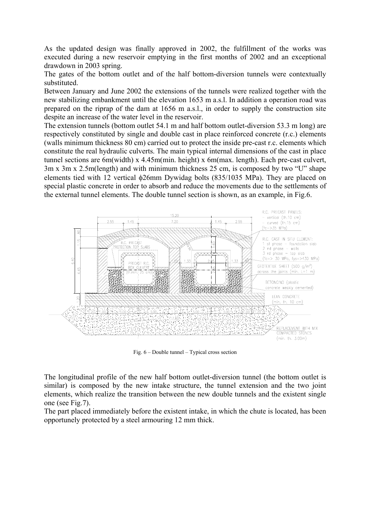As the updated design was finally approved in 2002, the fulfillment of the works was executed during a new reservoir emptying in the first months of 2002 and an exceptional drawdown in 2003 spring.

The gates of the bottom outlet and of the half bottom-diversion tunnels were contextually substituted.

Between January and June 2002 the extensions of the tunnels were realized together with the new stabilizing embankment until the elevation 1653 m a.s.l. In addition a operation road was prepared on the riprap of the dam at 1656 m a.s.l., in order to supply the construction site despite an increase of the water level in the reservoir.

The extension tunnels (bottom outlet 54.1 m and half bottom outlet-diversion 53.3 m long) are respectively constituted by single and double cast in place reinforced concrete (r.c.) elements (walls minimum thickness 80 cm) carried out to protect the inside pre-cast r.c. elements which constitute the real hydraulic culverts. The main typical internal dimensions of the cast in place tunnel sections are 6m(width) x 4.45m(min. height) x 6m(max. length). Each pre-cast culvert, 3m x 3m x 2.5m(length) and with minimum thickness 25 cm, is composed by two "U" shape elements tied with 12 vertical φ26mm Dywidag bolts (835/1035 MPa). They are placed on special plastic concrete in order to absorb and reduce the movements due to the settlements of the external tunnel elements. The double tunnel section is shown, as an example, in Fig.6.



Fig. 6 – Double tunnel – Typical cross section

The longitudinal profile of the new half bottom outlet-diversion tunnel (the bottom outlet is similar) is composed by the new intake structure, the tunnel extension and the two joint elements, which realize the transition between the new double tunnels and the existent single one (see Fig.7).

The part placed immediately before the existent intake, in which the chute is located, has been opportunely protected by a steel armouring 12 mm thick.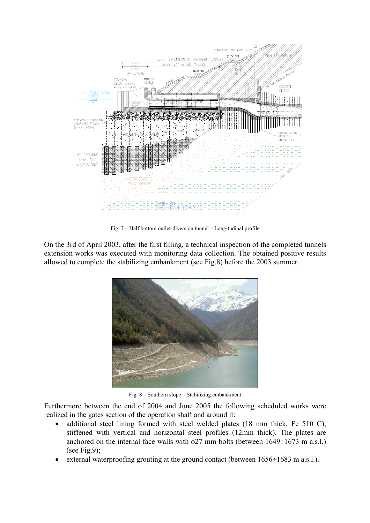

Fig. 7 – Half bottom outlet-diversion tunnel – Longitudinal profile

On the 3rd of April 2003, after the first filling, a technical inspection of the completed tunnels extension works was executed with monitoring data collection. The obtained positive results allowed to complete the stabilizing embankment (see Fig.8) before the 2003 summer.



Fig. 8 – Southern slope – Stabilizing embankment

Furthermore between the end of 2004 and June 2005 the following scheduled works were realized in the gates section of the operation shaft and around it:

- additional steel lining formed with steel welded plates (18 mm thick, Fe 510 C), stiffened with vertical and horizontal steel profiles (12mm thick). The plates are anchored on the internal face walls with  $\phi$ 27 mm bolts (between 1649÷1673 m a.s.l.) (see Fig.9);
- external waterproofing grouting at the ground contact (between  $1656 \div 1683$  m a.s.l.).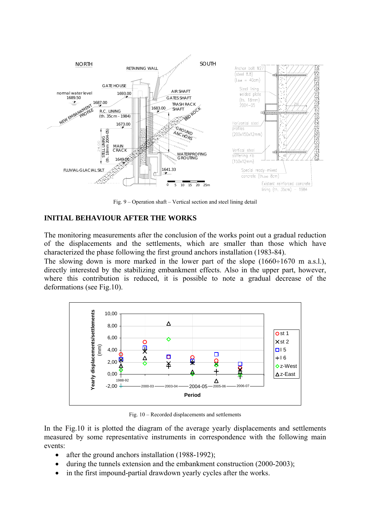

Fig. 9 – Operation shaft – Vertical section and steel lining detail

#### **INITIAL BEHAVIOUR AFTER THE WORKS**

The monitoring measurements after the conclusion of the works point out a gradual reduction of the displacements and the settlements, which are smaller than those which have characterized the phase following the first ground anchors installation (1983-84).

The slowing down is more marked in the lower part of the slope (1660÷1670 m a.s.l.), directly interested by the stabilizing embankment effects. Also in the upper part, however, where this contribution is reduced, it is possible to note a gradual decrease of the deformations (see Fig.10).



Fig. 10 – Recorded displacements and settlements

In the Fig.10 it is plotted the diagram of the average yearly displacements and settlements measured by some representative instruments in correspondence with the following main events:

- after the ground anchors installation (1988-1992);
- during the tunnels extension and the embankment construction (2000-2003);
- in the first impound-partial drawdown yearly cycles after the works.